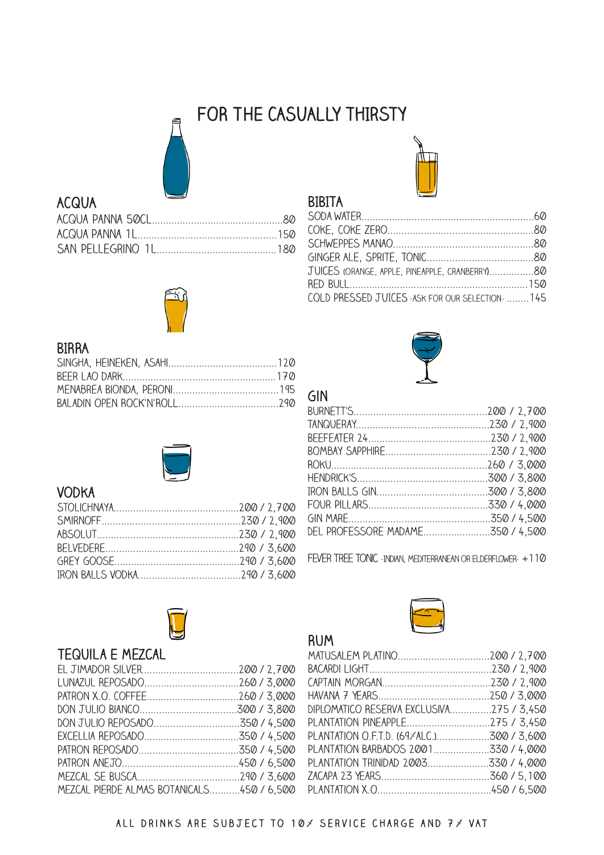# **FOR THE CASUALLY thIrsty**



## **ACQUA**



## **BIRRA**



## **Vodka**



## **Tequila E Mezcal**

| MEZCAL PIERDE ALMAS BOTANICALS450 / 6,500 |  |
|-------------------------------------------|--|



### **BIBITA**

| JUICES (ORANGE, APPLE, PINEAPPLE, CRANBERRY)80    |  |
|---------------------------------------------------|--|
|                                                   |  |
| COLD PRESSED JUICES - ASK FOR OUR SELECTION-  145 |  |



**Rum**

| DEL PROFESSORE MADAME350 / 4,500 |  |
|----------------------------------|--|
|                                  |  |

FEVER TREE TONIC -INDIAN, MEDITERRANEAN OR ELDERFLOWER- +110



| DIPLOMATICO RESERVA EXCLUSIVA275 / 3,450 |  |
|------------------------------------------|--|
| PLANTATION PINEAPPLE275 / 3,450          |  |
| PLANTATION O.F.T.D. (69/ALC.)300 / 3,600 |  |
| PLANTATION BARBADOS 2001330 / 4,000      |  |
| PLANTATION TRINIDAD 2003330 / 4,000      |  |
|                                          |  |
|                                          |  |
|                                          |  |

#### **all drinks are subject to 10% service charge and 7% VAT**